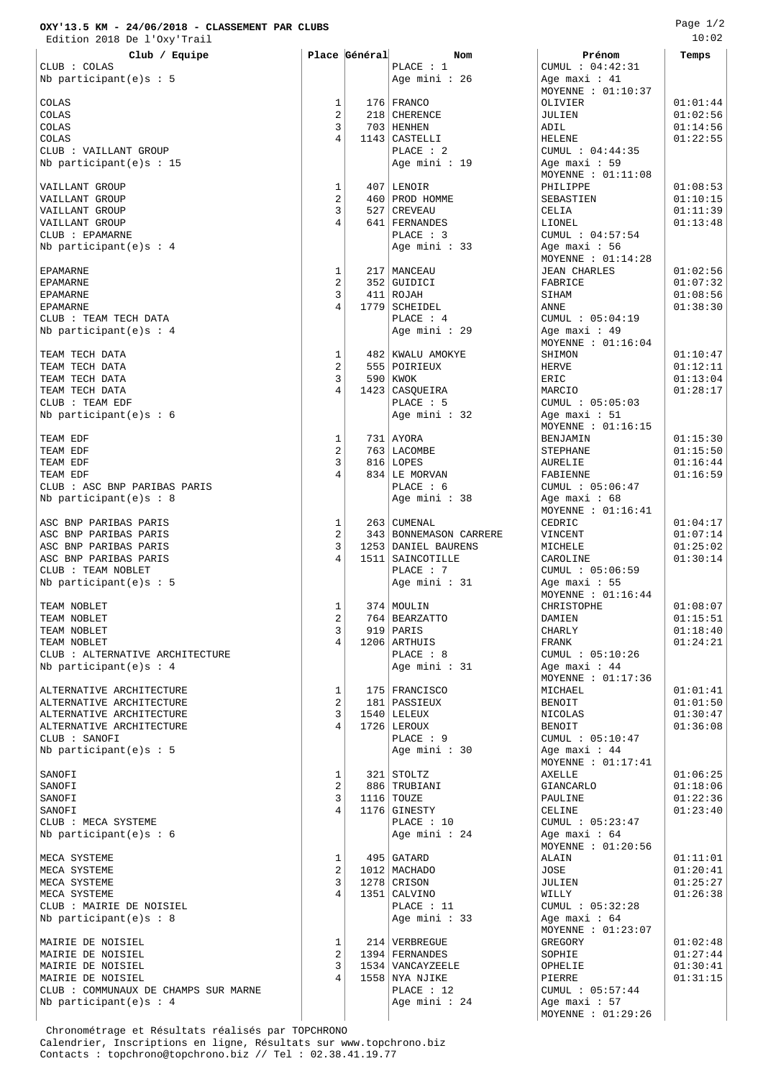## **OXY'13.5 KM - 24/06/2018 - CLASSEMENT PAR CLUBS**

Edition 2018 De l'Oxy'Trail

| Club / Equipe                        |                         | Place Général | <b>Nom</b>             | Prénom               | Temps    |
|--------------------------------------|-------------------------|---------------|------------------------|----------------------|----------|
| CLUB : COLAS                         |                         |               | PLACE : 1              | CUMUL : 04:42:31     |          |
| Nb participant(e)s : 5               |                         |               | Age mini : 26          | Age maxi: 41         |          |
|                                      |                         |               |                        | MOYENNE : 01:10:37   |          |
|                                      | 1                       |               | 176 FRANCO             |                      | 01:01:44 |
| COLAS<br>COLAS                       | $\overline{a}$          |               | 218   CHERENCE         | OLIVIER<br>JULIEN    | 01:02:56 |
| COLAS                                | 3                       |               | 703   HENHEN           | ADIL                 | 01:14:56 |
|                                      | $\overline{4}$          |               |                        |                      |          |
| COLAS                                |                         |               | $1143$ CASTELLI        | HELENE               | 01:22:55 |
| CLUB : VAILLANT GROUP                |                         |               | PLACE : 2              | CUMUL : 04:44:35     |          |
| Nb participant(e)s : 15              |                         |               | Age mini : 19          | Age maxi: 59         |          |
|                                      |                         |               |                        | MOYENNE : $01:11:08$ |          |
| VAILLANT GROUP                       | 1                       |               | $407$ LENOIR           | PHILIPPE             | 01:08:53 |
| VAILLANT GROUP                       | $\overline{c}$          |               | 460 PROD HOMME         | SEBASTIEN            | 01:10:15 |
| VAILLANT GROUP                       | 3                       |               | 527 CREVEAU            | CELIA                | 01:11:39 |
| VAILLANT GROUP                       | $\overline{4}$          |               | 641   FERNANDES        | LIONEL               | 01:13:48 |
| CLUB : EPAMARNE                      |                         |               | PLACE : 3              | CUMUL : 04:57:54     |          |
| Nb participant(e)s : $4$             |                         |               | Age mini : 33          | Age maxi: 56         |          |
|                                      |                         |               |                        | MOYENNE : $01:14:28$ |          |
| EPAMARNE                             | 1                       |               | 217   MANCEAU          | <b>JEAN CHARLES</b>  | 01:02:56 |
| EPAMARNE                             | $\overline{c}$          |               | 352 GUIDICI            | FABRICE              | 01:07:32 |
| <b>EPAMARNE</b>                      | 3                       |               | 411 ROJAH              | SIHAM                | 01:08:56 |
| EPAMARNE                             | $\overline{4}$          |               | 1779   SCHEIDEL        | <b>ANNE</b>          | 01:38:30 |
| CLUB : TEAM TECH DATA                |                         |               | PLACE : 4              | CUMUL : 05:04:19     |          |
| Nb participant(e)s : $4$             |                         |               | Age mini : 29          | Age maxi: 49         |          |
|                                      |                         |               |                        | MOYENNE : 01:16:04   |          |
| TEAM TECH DATA                       | 1                       |               | 482 KWALU AMOKYE       | SHIMON               | 01:10:47 |
| TEAM TECH DATA                       | 2                       |               | 555   POIRIEUX         | HERVE                | 01:12:11 |
| TEAM TECH DATA                       | 3                       |               | 590   KWOK             | ERIC                 | 01:13:04 |
| TEAM TECH DATA                       | 4                       |               | 1423   CASQUEIRA       | MARCIO               | 01:28:17 |
| CLUB : TEAM EDF                      |                         |               | PLACE : 5              | CUMUL : 05:05:03     |          |
| Nb participant(e) $s : 6$            |                         |               | Age mini : 32          | Age maxi: $51$       |          |
|                                      |                         |               |                        | MOYENNE : $01:16:15$ |          |
| TEAM EDF                             | 1                       |               | 731   AYORA            |                      | 01:15:30 |
|                                      | $\overline{c}$          |               | 763 LACOMBE            | BENJAMIN             |          |
| TEAM EDF                             | 3                       |               |                        | STEPHANE             | 01:15:50 |
| TEAM EDF                             | $\overline{4}$          |               | 816 LOPES              | AURELIE              | 01:16:44 |
| TEAM EDF                             |                         |               | 834 LE MORVAN          | FABIENNE             | 01:16:59 |
| CLUB : ASC BNP PARIBAS PARIS         |                         |               | PLACE : 6              | CUMUL : 05:06:47     |          |
| Nb participant(e) $s : 8$            |                         |               | Age mini : 38          | Age maxi: $68$       |          |
|                                      |                         |               |                        | MOYENNE : 01:16:41   |          |
| ASC BNP PARIBAS PARIS                | 1                       |               | 263   CUMENAL          | CEDRIC               | 01:04:17 |
| ASC BNP PARIBAS PARIS                | $\overline{c}$          |               | 343 BONNEMASON CARRERE | VINCENT              | 01:07:14 |
| ASC BNP PARIBAS PARIS                | 3                       |               | 1253 DANIEL BAURENS    | MICHELE              | 01:25:02 |
| ASC BNP PARIBAS PARIS                | 4                       |               | 1511   SAINCOTILLE     | CAROLINE             | 01:30:14 |
| CLUB : TEAM NOBLET                   |                         |               | PLACE : 7              | CUMUL : 05:06:59     |          |
| Nb participant(e)s : 5               |                         |               | Age mini : 31          | Age maxi: $55$       |          |
|                                      |                         |               |                        | MOYENNE : 01:16:44   |          |
| TEAM NOBLET                          | 1                       |               | 374   MOULIN           | CHRISTOPHE           | 01:08:07 |
| TEAM NOBLET                          | $\overline{\mathbf{c}}$ |               | 764 BEARZATTO          | DAMIEN               | 01:15:51 |
| TEAM NOBLET                          | 3                       |               | 919   PARIS            | CHARLY               | 01:18:40 |
| TEAM NOBLET                          | 4                       |               | $1206$ ARTHUIS         | FRANK                | 01:24:21 |
| CLUB : ALTERNATIVE ARCHITECTURE      |                         |               | PLACE : 8              | CUMUL : 05:10:26     |          |
| Nb participant(e)s : $4$             |                         |               | Age mini: 31           | Age maxi: $44$       |          |
|                                      |                         |               |                        | MOYENNE : 01:17:36   |          |
| ALTERNATIVE ARCHITECTURE             | 1                       |               | 175   FRANCISCO        | MICHAEL              | 01:01:41 |
| ALTERNATIVE ARCHITECTURE             | $\overline{a}$          |               | 181   PASSIEUX         | BENOIT               | 01:01:50 |
| ALTERNATIVE ARCHITECTURE             | 3                       |               | 1540 LELEUX            | NICOLAS              | 01:30:47 |
| ALTERNATIVE ARCHITECTURE             | 4                       |               | 1726 LEROUX            | <b>BENOIT</b>        | 01:36:08 |
| CLUB : SANOFI                        |                         |               | PLACE : 9              | CUMUL : 05:10:47     |          |
| Nb participant(e)s : 5               |                         |               | Age mini: 30           |                      |          |
|                                      |                         |               |                        | Age maxi: $44$       |          |
|                                      |                         |               |                        | MOYENNE : 01:17:41   |          |
| SANOFI                               | 1                       |               | 321 STOLTZ             | AXELLE               | 01:06:25 |
| SANOFI                               | 2                       |               | 886 TRUBIANI           | GIANCARLO            | 01:18:06 |
| SANOFI                               | 3                       |               | $1116$ TOUZE           | PAULINE              | 01:22:36 |
| SANOFI                               | 4                       |               | 1176 GINESTY           | CELINE               | 01:23:40 |
| CLUB : MECA SYSTEME                  |                         |               | PLACE : 10             | CUMUL : 05:23:47     |          |
| Nb participant(e) $s : 6$            |                         |               | Age mini : 24          | Age maxi: 64         |          |
|                                      |                         |               |                        | MOYENNE : 01:20:56   |          |
| MECA SYSTEME                         | 1                       |               | 495 GATARD             | ALAIN                | 01:11:01 |
| MECA SYSTEME                         | 2                       |               | 1012   MACHADO         | JOSE                 | 01:20:41 |
| MECA SYSTEME                         | 3                       |               | 1278 CRISON            | JULIEN               | 01:25:27 |
| MECA SYSTEME                         | 4                       |               | 1351   CALVINO         | WILLY                | 01:26:38 |
| CLUB : MAIRIE DE NOISIEL             |                         |               | PLACE : 11             | CUMUL : 05:32:28     |          |
| Nb participant(e)s : $8$             |                         |               | Age mini : 33          | Age maxi: $64$       |          |
|                                      |                         |               |                        | MOYENNE : 01:23:07   |          |
| MAIRIE DE NOISIEL                    | 1                       |               | 214   VERBREGUE        | GREGORY              | 01:02:48 |
| MAIRIE DE NOISIEL                    | $\overline{c}$          |               | 1394 FERNANDES         | SOPHIE               | 01:27:44 |
| MAIRIE DE NOISIEL                    | 3                       |               | 1534   VANCAYZEELE     | OPHELIE              | 01:30:41 |
| MAIRIE DE NOISIEL                    | 4                       |               | 1558 NYA NJIKE         | PIERRE               | 01:31:15 |
| CLUB : COMMUNAUX DE CHAMPS SUR MARNE |                         |               | PLACE : 12             | CUMUL : 05:57:44     |          |
| Nb participant(e)s : 4               |                         |               | Age mini : 24          | Age maxi: 57         |          |
|                                      |                         |               |                        | MOYENNE : 01:29:26   |          |
|                                      |                         |               |                        |                      |          |

 Chronométrage et Résultats réalisés par TOPCHRONO Calendrier, Inscriptions en ligne, Résultats sur www.topchrono.biz Contacts : topchrono@topchrono.biz // Tel : 02.38.41.19.77

Page 1/2 10:02